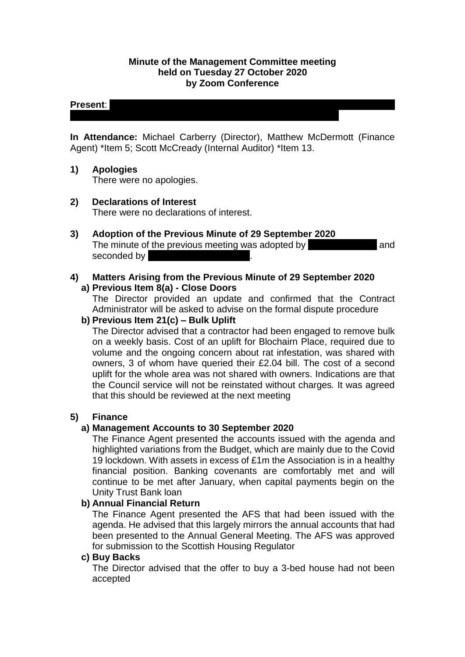#### **Minute of the Management Committee meeting held on Tuesday 27 October 2020 by Zoom Conference**

### **Present:**

**In Attendance:** Michael Carberry (Director), Matthew McDermott (Finance Agent) \*Item 5; Scott McCready (Internal Auditor) \*Item 13.

### **1) Apologies**

There were no apologies.

- **2) Declarations of Interest** There were no declarations of interest.
- **3) Adoption of the Previous Minute of 29 September 2020** The minute of the previous meeting was adopted by **Olympian and** and seconded by

#### **4) Matters Arising from the Previous Minute of 29 September 2020 a) Previous Item 8(a) - Close Doors**

The Director provided an update and confirmed that the Contract Administrator will be asked to advise on the formal dispute procedure

#### **b) Previous Item 21(c) – Bulk Uplift**

The Director advised that a contractor had been engaged to remove bulk on a weekly basis. Cost of an uplift for Blochairn Place, required due to volume and the ongoing concern about rat infestation, was shared with owners, 3 of whom have queried their £2.04 bill. The cost of a second uplift for the whole area was not shared with owners. Indications are that the Council service will not be reinstated without charges*.* It was agreed that this should be reviewed at the next meeting

### **5) Finance**

### **a) Management Accounts to 30 September 2020**

The Finance Agent presented the accounts issued with the agenda and highlighted variations from the Budget, which are mainly due to the Covid 19 lockdown. With assets in excess of £1m the Association is in a healthy financial position. Banking covenants are comfortably met and will continue to be met after January, when capital payments begin on the Unity Trust Bank loan

#### **b) Annual Financial Return**

The Finance Agent presented the AFS that had been issued with the agenda. He advised that this largely mirrors the annual accounts that had been presented to the Annual General Meeting. The AFS was approved for submission to the Scottish Housing Regulator

#### **c) Buy Backs**

The Director advised that the offer to buy a 3-bed house had not been accepted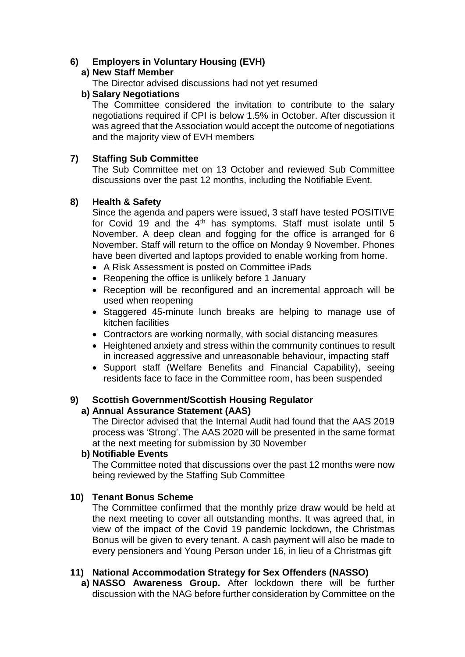## **6) Employers in Voluntary Housing (EVH)**

### **a) New Staff Member**

The Director advised discussions had not yet resumed

### **b) Salary Negotiations**

The Committee considered the invitation to contribute to the salary negotiations required if CPI is below 1.5% in October. After discussion it was agreed that the Association would accept the outcome of negotiations and the majority view of EVH members

## **7) Staffing Sub Committee**

The Sub Committee met on 13 October and reviewed Sub Committee discussions over the past 12 months, including the Notifiable Event.

## **8) Health & Safety**

Since the agenda and papers were issued, 3 staff have tested POSITIVE for Covid 19 and the  $4<sup>th</sup>$  has symptoms. Staff must isolate until 5 November. A deep clean and fogging for the office is arranged for 6 November. Staff will return to the office on Monday 9 November. Phones have been diverted and laptops provided to enable working from home.

- A Risk Assessment is posted on Committee iPads
- Reopening the office is unlikely before 1 January
- Reception will be reconfigured and an incremental approach will be used when reopening
- Staggered 45-minute lunch breaks are helping to manage use of kitchen facilities
- Contractors are working normally, with social distancing measures
- Heightened anxiety and stress within the community continues to result in increased aggressive and unreasonable behaviour, impacting staff
- Support staff (Welfare Benefits and Financial Capability), seeing residents face to face in the Committee room, has been suspended

## **9) Scottish Government/Scottish Housing Regulator**

## **a) Annual Assurance Statement (AAS)**

The Director advised that the Internal Audit had found that the AAS 2019 process was 'Strong'. The AAS 2020 will be presented in the same format at the next meeting for submission by 30 November

### **b) Notifiable Events**

The Committee noted that discussions over the past 12 months were now being reviewed by the Staffing Sub Committee

### **10) Tenant Bonus Scheme**

The Committee confirmed that the monthly prize draw would be held at the next meeting to cover all outstanding months. It was agreed that, in view of the impact of the Covid 19 pandemic lockdown, the Christmas Bonus will be given to every tenant. A cash payment will also be made to every pensioners and Young Person under 16, in lieu of a Christmas gift

### **11) National Accommodation Strategy for Sex Offenders (NASSO)**

**a) NASSO Awareness Group.** After lockdown there will be further discussion with the NAG before further consideration by Committee on the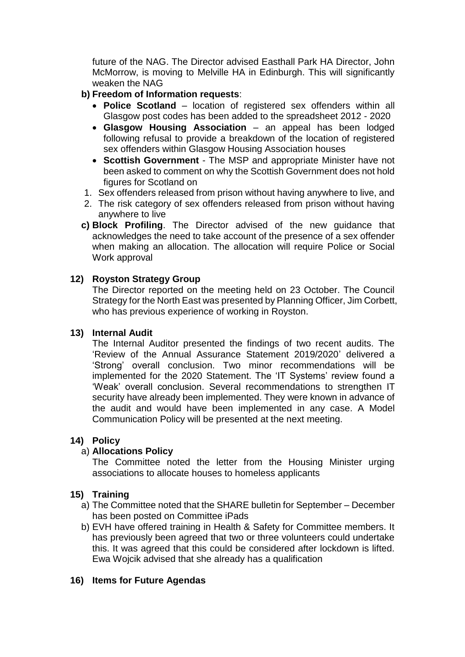future of the NAG. The Director advised Easthall Park HA Director, John McMorrow, is moving to Melville HA in Edinburgh. This will significantly weaken the NAG

### **b) Freedom of Information requests**:

- **Police Scotland** location of registered sex offenders within all Glasgow post codes has been added to the spreadsheet 2012 - 2020
- **Glasgow Housing Association** an appeal has been lodged following refusal to provide a breakdown of the location of registered sex offenders within Glasgow Housing Association houses
- **Scottish Government** The MSP and appropriate Minister have not been asked to comment on why the Scottish Government does not hold figures for Scotland on
- 1. Sex offenders released from prison without having anywhere to live, and
- 2. The risk category of sex offenders released from prison without having anywhere to live
- **c) Block Profiling**. The Director advised of the new guidance that acknowledges the need to take account of the presence of a sex offender when making an allocation. The allocation will require Police or Social Work approval

### **12) Royston Strategy Group**

The Director reported on the meeting held on 23 October. The Council Strategy for the North East was presented by Planning Officer, Jim Corbett, who has previous experience of working in Royston.

#### **13) Internal Audit**

The Internal Auditor presented the findings of two recent audits. The 'Review of the Annual Assurance Statement 2019/2020' delivered a 'Strong' overall conclusion. Two minor recommendations will be implemented for the 2020 Statement. The 'IT Systems' review found a 'Weak' overall conclusion. Several recommendations to strengthen IT security have already been implemented. They were known in advance of the audit and would have been implemented in any case. A Model Communication Policy will be presented at the next meeting.

### **14) Policy**

### a) **Allocations Policy**

The Committee noted the letter from the Housing Minister urging associations to allocate houses to homeless applicants

### **15) Training**

- a) The Committee noted that the SHARE bulletin for September December has been posted on Committee iPads
- b) EVH have offered training in Health & Safety for Committee members. It has previously been agreed that two or three volunteers could undertake this. It was agreed that this could be considered after lockdown is lifted. Ewa Wojcik advised that she already has a qualification

### **16) Items for Future Agendas**